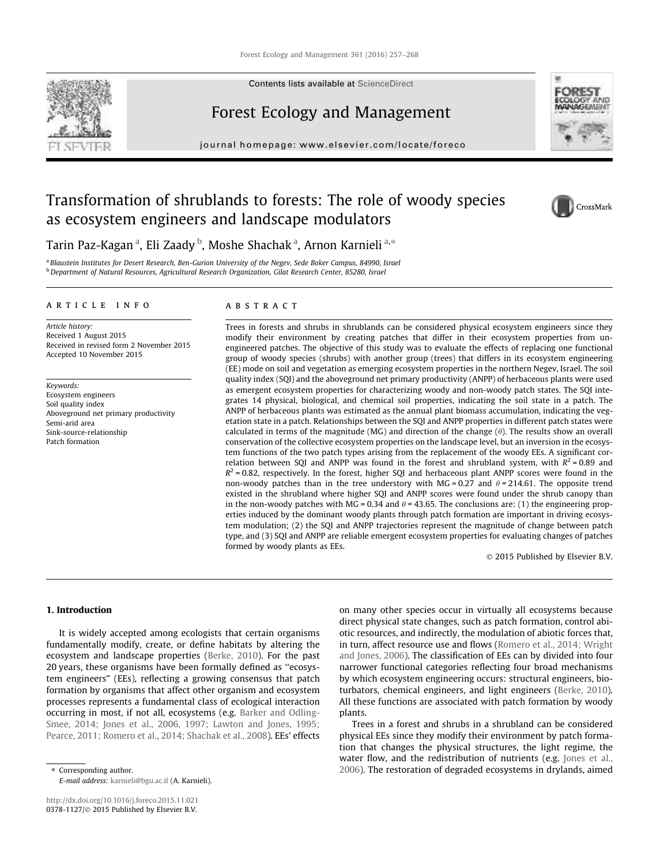

Contents lists available at ScienceDirect

# Forest Ecology and Management

journal homepage: www.elsevier.com/locate/foreco

# Transformation of shrublands to forests: The role of woody species as ecosystem engineers and landscape modulators





Tarin Paz-Kagan <sup>a</sup>, Eli Zaady <sup>b</sup>, Moshe Shachak <sup>a</sup>, Arnon Karnieli <sup>a,</sup>\*

a *Blaustein Institutes for Desert Research, Ben-Gurion University of the Negev, Sede Boker Campus, 84990, Israel* <sup>b</sup>*Department of Natural Resources, Agricultural Research Organization, Gilat Research Center, 85280, Israel*

# article info

*Article history:* Received 1 August 2015 Received in revised form 2 November 2015 Accepted 10 November 2015

*Keywords:* Ecosystem engineers Soil quality index Aboveground net primary productivity Semi-arid area Sink-source-relationship Patch formation

# **ABSTRACT**

Trees in forests and shrubs in shrublands can be considered physical ecosystem engineers since they modify their environment by creating patches that differ in their ecosystem properties from unengineered patches. The objective of this study was to evaluate the effects of replacing one functional group of woody species (shrubs) with another group (trees) that differs in its ecosystem engineering (EE) mode on soil and vegetation as emerging ecosystem properties in the northern Negev, Israel. The soil quality index (SQI) and the aboveground net primary productivity (ANPP) of herbaceous plants were used as emergent ecosystem properties for characterizing woody and non-woody patch states. The SQI integrates 14 physical, biological, and chemical soil properties, indicating the soil state in a patch. The ANPP of herbaceous plants was estimated as the annual plant biomass accumulation, indicating the vegetation state in a patch. Relationships between the SQI and ANPP properties in different patch states were calculated in terms of the magnitude (MG) and direction of the change  $(\theta)$ . The results show an overall conservation of the collective ecosystem properties on the landscape level, but an inversion in the ecosystem functions of the two patch types arising from the replacement of the woody EEs. A significant correlation between SQI and ANPP was found in the forest and shrubland system, with  $R^2 = 0.89$  and  $R^2$  = 0.82, respectively. In the forest, higher SQI and herbaceous plant ANPP scores were found in the non-woody patches than in the tree understory with  $MG = 0.27$  and  $\theta = 214.61$ . The opposite trend existed in the shrubland where higher SQI and ANPP scores were found under the shrub canopy than in the non-woody patches with MG = 0.34 and  $\theta$  = 43.65. The conclusions are: (1) the engineering properties induced by the dominant woody plants through patch formation are important in driving ecosystem modulation; (2) the SQI and ANPP trajectories represent the magnitude of change between patch type, and (3) SQI and ANPP are reliable emergent ecosystem properties for evaluating changes of patches formed by woody plants as EEs.

2015 Published by Elsevier B.V.

# 1. Introduction

It is widely accepted among ecologists that certain organisms fundamentally modify, create, or define habitats by altering the ecosystem and landscape properties (Berke, 2010). For the past 20 years, these organisms have been formally defined as ''ecosystem engineers" (EEs), reflecting a growing consensus that patch formation by organisms that affect other organism and ecosystem processes represents a fundamental class of ecological interaction occurring in most, if not all, ecosystems (e.g. Barker and Odling-Smee, 2014; Jones et al., 2006, 1997; Lawton and Jones, 1995; Pearce, 2011; Romero et al., 2014; Shachak et al., 2008). EEs' effects

⇑ Corresponding author. *E-mail address:* karnieli@bgu.ac.il (A. Karnieli).

http://dx.doi.org/10.1016/j.foreco.2015.11.021 0378-1127/ 2015 Published by Elsevier B.V.

on many other species occur in virtually all ecosystems because direct physical state changes, such as patch formation, control abiotic resources, and indirectly, the modulation of abiotic forces that, in turn, affect resource use and flows (Romero et al., 2014; Wright and Jones, 2006). The classification of EEs can by divided into four narrower functional categories reflecting four broad mechanisms by which ecosystem engineering occurs: structural engineers, bioturbators, chemical engineers, and light engineers (Berke, 2010). All these functions are associated with patch formation by woody plants.

Trees in a forest and shrubs in a shrubland can be considered physical EEs since they modify their environment by patch formation that changes the physical structures, the light regime, the water flow, and the redistribution of nutrients (e.g. Jones et al., 2006). The restoration of degraded ecosystems in drylands, aimed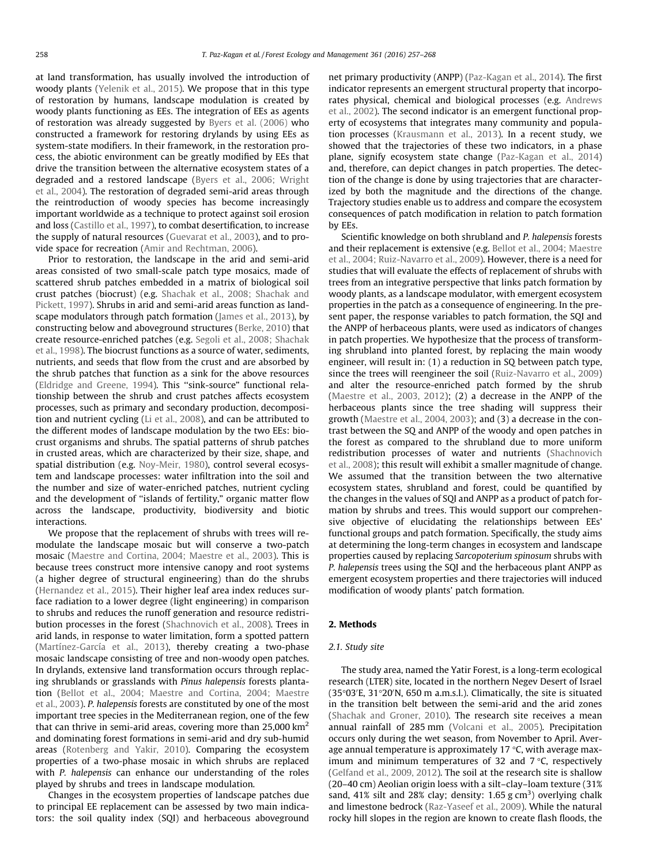at land transformation, has usually involved the introduction of woody plants (Yelenik et al., 2015). We propose that in this type of restoration by humans, landscape modulation is created by woody plants functioning as EEs. The integration of EEs as agents of restoration was already suggested by Byers et al. (2006) who constructed a framework for restoring drylands by using EEs as system-state modifiers. In their framework, in the restoration process, the abiotic environment can be greatly modified by EEs that drive the transition between the alternative ecosystem states of a degraded and a restored landscape (Byers et al., 2006; Wright et al., 2004). The restoration of degraded semi-arid areas through the reintroduction of woody species has become increasingly important worldwide as a technique to protect against soil erosion and loss (Castillo et al., 1997), to combat desertification, to increase the supply of natural resources (Guevarat et al., 2003), and to provide space for recreation (Amir and Rechtman, 2006).

Prior to restoration, the landscape in the arid and semi-arid areas consisted of two small-scale patch type mosaics, made of scattered shrub patches embedded in a matrix of biological soil crust patches (biocrust) (e.g. Shachak et al., 2008; Shachak and Pickett, 1997). Shrubs in arid and semi-arid areas function as landscape modulators through patch formation (James et al., 2013), by constructing below and aboveground structures (Berke, 2010) that create resource-enriched patches (e.g. Segoli et al., 2008; Shachak et al., 1998). The biocrust functions as a source of water, sediments, nutrients, and seeds that flow from the crust and are absorbed by the shrub patches that function as a sink for the above resources (Eldridge and Greene, 1994). This ''sink-source" functional relationship between the shrub and crust patches affects ecosystem processes, such as primary and secondary production, decomposition and nutrient cycling (Li et al., 2008), and can be attributed to the different modes of landscape modulation by the two EEs: biocrust organisms and shrubs. The spatial patterns of shrub patches in crusted areas, which are characterized by their size, shape, and spatial distribution (e.g. Noy-Meir, 1980), control several ecosystem and landscape processes: water infiltration into the soil and the number and size of water-enriched patches, nutrient cycling and the development of ''islands of fertility," organic matter flow across the landscape, productivity, biodiversity and biotic interactions.

We propose that the replacement of shrubs with trees will remodulate the landscape mosaic but will conserve a two-patch mosaic (Maestre and Cortina, 2004; Maestre et al., 2003). This is because trees construct more intensive canopy and root systems (a higher degree of structural engineering) than do the shrubs (Hernandez et al., 2015). Their higher leaf area index reduces surface radiation to a lower degree (light engineering) in comparison to shrubs and reduces the runoff generation and resource redistribution processes in the forest (Shachnovich et al., 2008). Trees in arid lands, in response to water limitation, form a spotted pattern (Martínez-García et al., 2013), thereby creating a two-phase mosaic landscape consisting of tree and non-woody open patches. In drylands, extensive land transformation occurs through replacing shrublands or grasslands with *Pinus halepensis* forests plantation (Bellot et al., 2004; Maestre and Cortina, 2004; Maestre et al., 2003). *P. halepensis* forests are constituted by one of the most important tree species in the Mediterranean region, one of the few that can thrive in semi-arid areas, covering more than 25,000 km<sup>2</sup> and dominating forest formations in semi-arid and dry sub-humid areas (Rotenberg and Yakir, 2010). Comparing the ecosystem properties of a two-phase mosaic in which shrubs are replaced with *P. halepensis* can enhance our understanding of the roles played by shrubs and trees in landscape modulation.

Changes in the ecosystem properties of landscape patches due to principal EE replacement can be assessed by two main indicators: the soil quality index (SQI) and herbaceous aboveground net primary productivity (ANPP) (Paz-Kagan et al., 2014). The first indicator represents an emergent structural property that incorporates physical, chemical and biological processes (e.g. Andrews et al., 2002). The second indicator is an emergent functional property of ecosystems that integrates many community and population processes (Krausmann et al., 2013). In a recent study, we showed that the trajectories of these two indicators, in a phase plane, signify ecosystem state change (Paz-Kagan et al., 2014) and, therefore, can depict changes in patch properties. The detection of the change is done by using trajectories that are characterized by both the magnitude and the directions of the change. Trajectory studies enable us to address and compare the ecosystem consequences of patch modification in relation to patch formation by EEs.

Scientific knowledge on both shrubland and *P. halepensis* forests and their replacement is extensive (e.g. Bellot et al., 2004; Maestre et al., 2004; Ruiz-Navarro et al., 2009). However, there is a need for studies that will evaluate the effects of replacement of shrubs with trees from an integrative perspective that links patch formation by woody plants, as a landscape modulator, with emergent ecosystem properties in the patch as a consequence of engineering. In the present paper, the response variables to patch formation, the SQI and the ANPP of herbaceous plants, were used as indicators of changes in patch properties. We hypothesize that the process of transforming shrubland into planted forest, by replacing the main woody engineer, will result in: (1) a reduction in SQ between patch type, since the trees will reengineer the soil (Ruiz-Navarro et al., 2009) and alter the resource-enriched patch formed by the shrub (Maestre et al., 2003, 2012); (2) a decrease in the ANPP of the herbaceous plants since the tree shading will suppress their growth (Maestre et al., 2004, 2003); and (3) a decrease in the contrast between the SQ and ANPP of the woody and open patches in the forest as compared to the shrubland due to more uniform redistribution processes of water and nutrients (Shachnovich et al., 2008); this result will exhibit a smaller magnitude of change. We assumed that the transition between the two alternative ecosystem states, shrubland and forest, could be quantified by the changes in the values of SQI and ANPP as a product of patch formation by shrubs and trees. This would support our comprehensive objective of elucidating the relationships between EEs' functional groups and patch formation. Specifically, the study aims at determining the long-term changes in ecosystem and landscape properties caused by replacing *Sarcopoterium spinosum* shrubs with *P. halepensis* trees using the SQI and the herbaceous plant ANPP as emergent ecosystem properties and there trajectories will induced modification of woody plants' patch formation.

# 2. Methods

#### *2.1. Study site*

The study area, named the Yatir Forest, is a long-term ecological research (LTER) site, located in the northern Negev Desert of Israel (35 $^{\circ}$ 03'E, 31 $^{\circ}$ 20'N, 650 m a.m.s.l.). Climatically, the site is situated in the transition belt between the semi-arid and the arid zones (Shachak and Groner, 2010). The research site receives a mean annual rainfall of 285 mm (Volcani et al., 2005). Precipitation occurs only during the wet season, from November to April. Average annual temperature is approximately 17  $\degree$ C, with average maximum and minimum temperatures of 32 and  $7^{\circ}$ C, respectively (Gelfand et al., 2009, 2012). The soil at the research site is shallow (20–40 cm) Aeolian origin loess with a silt–clay–loam texture (31% sand, 41% silt and 28% clay; density: 1.65  $\rm g$  cm<sup>3</sup>) overlying chalk and limestone bedrock (Raz-Yaseef et al., 2009). While the natural rocky hill slopes in the region are known to create flash floods, the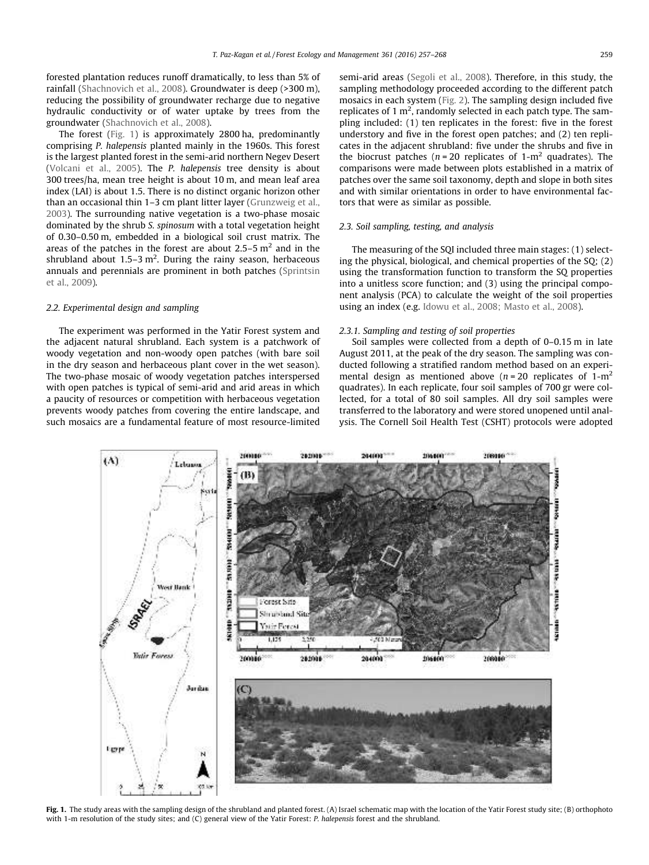forested plantation reduces runoff dramatically, to less than 5% of rainfall (Shachnovich et al., 2008). Groundwater is deep (>300 m), reducing the possibility of groundwater recharge due to negative hydraulic conductivity or of water uptake by trees from the groundwater (Shachnovich et al., 2008).

The forest (Fig. 1) is approximately 2800 ha, predominantly comprising *P. halepensis* planted mainly in the 1960s. This forest is the largest planted forest in the semi-arid northern Negev Desert (Volcani et al., 2005). The *P. halepensis* tree density is about 300 trees/ha, mean tree height is about 10 m, and mean leaf area index (LAI) is about 1.5. There is no distinct organic horizon other than an occasional thin 1-3 cm plant litter layer (Grunzweig et al., 2003). The surrounding native vegetation is a two-phase mosaic dominated by the shrub *S. spinosum* with a total vegetation height of 0.30–0.50 m, embedded in a biological soil crust matrix. The areas of the patches in the forest are about 2.5–5  $m<sup>2</sup>$  and in the shrubland about  $1.5-3$  m<sup>2</sup>. During the rainy season, herbaceous annuals and perennials are prominent in both patches (Sprintsin et al., 2009).

# *2.2. Experimental design and sampling*

The experiment was performed in the Yatir Forest system and the adjacent natural shrubland. Each system is a patchwork of woody vegetation and non-woody open patches (with bare soil in the dry season and herbaceous plant cover in the wet season). The two-phase mosaic of woody vegetation patches interspersed with open patches is typical of semi-arid and arid areas in which a paucity of resources or competition with herbaceous vegetation prevents woody patches from covering the entire landscape, and such mosaics are a fundamental feature of most resource-limited semi-arid areas (Segoli et al., 2008). Therefore, in this study, the sampling methodology proceeded according to the different patch mosaics in each system (Fig. 2). The sampling design included five replicates of 1  $m<sup>2</sup>$ , randomly selected in each patch type. The sampling included: (1) ten replicates in the forest: five in the forest understory and five in the forest open patches; and (2) ten replicates in the adjacent shrubland: five under the shrubs and five in the biocrust patches ( $n = 20$  replicates of 1-m<sup>2</sup> quadrates). The comparisons were made between plots established in a matrix of patches over the same soil taxonomy, depth and slope in both sites and with similar orientations in order to have environmental factors that were as similar as possible.

# *2.3. Soil sampling, testing, and analysis*

The measuring of the SQI included three main stages: (1) selecting the physical, biological, and chemical properties of the SQ; (2) using the transformation function to transform the SQ properties into a unitless score function; and (3) using the principal component analysis (PCA) to calculate the weight of the soil properties using an index (e.g. Idowu et al., 2008; Masto et al., 2008).

# *2.3.1. Sampling and testing of soil properties*

Soil samples were collected from a depth of 0–0.15 m in late August 2011, at the peak of the dry season. The sampling was conducted following a stratified random method based on an experimental design as mentioned above  $(n = 20$  replicates of  $1-m^2$ quadrates). In each replicate, four soil samples of 700 gr were collected, for a total of 80 soil samples. All dry soil samples were transferred to the laboratory and were stored unopened until analysis. The Cornell Soil Health Test (CSHT) protocols were adopted



Fig. 1. The study areas with the sampling design of the shrubland and planted forest. (A) Israel schematic map with the location of the Yatir Forest study site; (B) orthophoto with 1-m resolution of the study sites; and (C) general view of the Yatir Forest: *P. halepensis* forest and the shrubland.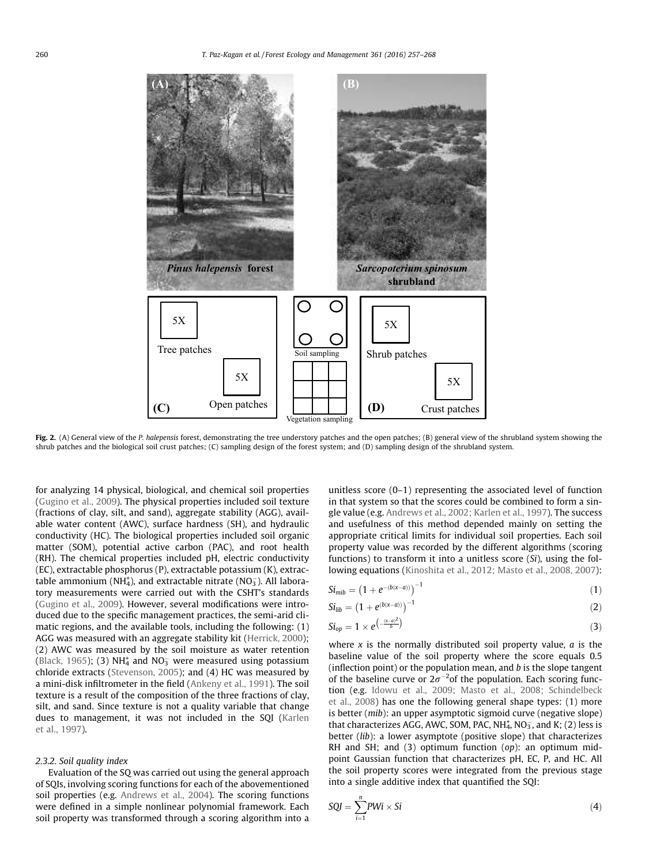

Fig. 2. (A) General view of the *P. halepensis* forest, demonstrating the tree understory patches and the open patches; (B) general view of the shrubland system showing the shrub patches and the biological soil crust patches; (C) sampling design of the forest system; and (D) sampling design of the shrubland system.

for analyzing 14 physical, biological, and chemical soil properties (Gugino et al., 2009). The physical properties included soil texture (fractions of clay, silt, and sand), aggregate stability (AGG), available water content (AWC), surface hardness (SH), and hydraulic conductivity (HC). The biological properties included soil organic matter (SOM), potential active carbon (PAC), and root health (RH). The chemical properties included pH, electric conductivity (EC), extractable phosphorus (P), extractable potassium (K), extractable ammonium (NH $_4^{\ast}$ ), and extractable nitrate (NO $_3^-$ ). All laboratory measurements were carried out with the CSHT's standards (Gugino et al., 2009). However, several modifications were introduced due to the specific management practices, the semi-arid climatic regions, and the available tools, including the following: (1) AGG was measured with an aggregate stability kit (Herrick, 2000); (2) AWC was measured by the soil moisture as water retention (Black, 1965); (3) NH<sup> $\pm$ </sup> and NO<sub>3</sub> were measured using potassium chloride extracts (Stevenson, 2005); and (4) HC was measured by a mini-disk infiltrometer in the field (Ankeny et al., 1991). The soil texture is a result of the composition of the three fractions of clay, silt, and sand. Since texture is not a quality variable that change dues to management, it was not included in the SQI (Karlen et al., 1997).

# *2.3.2. Soil quality index*

Evaluation of the SQ was carried out using the general approach of SQIs, involving scoring functions for each of the abovementioned soil properties (e.g. Andrews et al., 2004). The scoring functions were defined in a simple nonlinear polynomial framework. Each soil property was transformed through a scoring algorithm into a unitless score (0–1) representing the associated level of function in that system so that the scores could be combined to form a single value (e.g. Andrews et al., 2002; Karlen et al., 1997). The success and usefulness of this method depended mainly on setting the appropriate critical limits for individual soil properties. Each soil property value was recorded by the different algorithms (scoring functions) to transform it into a unitless score (*Si*), using the following equations (Kinoshita et al., 2012; Masto et al., 2008, 2007):

$$
Si_{mib} = \left(1 + e^{-(b(x-a))}\right)^{-1}
$$
 (1)

$$
Si_{lib} = (1 + e^{(b(x-a))})^{-1}
$$
 (2)

$$
Si_{op} = 1 \times e^{\left(\frac{(x-a)^2}{b}\right)} \tag{3}
$$

where *x* is the normally distributed soil property value, *a* is the baseline value of the soil property where the score equals 0.5 (inflection point) or the population mean, and *b* is the slope tangent of the baseline curve or  $2\sigma^{-2}$  of the population. Each scoring function (e.g. Idowu et al., 2009; Masto et al., 2008; Schindelbeck et al., 2008) has one the following general shape types: (1) more is better (*mib*): an upper asymptotic sigmoid curve (negative slope) that characterizes AGG, AWC, SOM, PAC, NH $_4$ , NO $_3$ , and K; (2) less is better (*lib*): a lower asymptote (positive slope) that characterizes RH and SH; and (3) optimum function (*op*): an optimum midpoint Gaussian function that characterizes pH, EC, P, and HC. All the soil property scores were integrated from the previous stage into a single additive index that quantified the SQI:

$$
SQL = \sum_{i=1}^{n} PWi \times Si \tag{4}
$$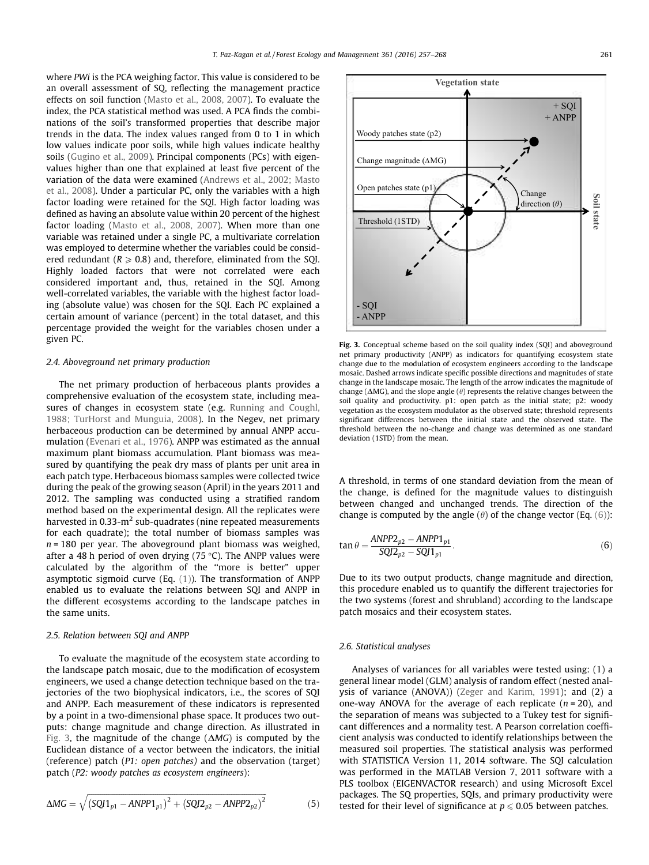where *PWi* is the PCA weighing factor. This value is considered to be an overall assessment of SQ, reflecting the management practice effects on soil function (Masto et al., 2008, 2007). To evaluate the index, the PCA statistical method was used. A PCA finds the combinations of the soil's transformed properties that describe major trends in the data. The index values ranged from 0 to 1 in which low values indicate poor soils, while high values indicate healthy soils (Gugino et al., 2009). Principal components (PCs) with eigenvalues higher than one that explained at least five percent of the variation of the data were examined (Andrews et al., 2002; Masto et al., 2008). Under a particular PC, only the variables with a high factor loading were retained for the SQI. High factor loading was defined as having an absolute value within 20 percent of the highest factor loading (Masto et al., 2008, 2007). When more than one variable was retained under a single PC, a multivariate correlation was employed to determine whether the variables could be considered redundant  $(R \ge 0.8)$  and, therefore, eliminated from the SOI. Highly loaded factors that were not correlated were each considered important and, thus, retained in the SQI. Among well-correlated variables, the variable with the highest factor loading (absolute value) was chosen for the SQI. Each PC explained a certain amount of variance (percent) in the total dataset, and this percentage provided the weight for the variables chosen under a given PC.

# *2.4. Aboveground net primary production*

The net primary production of herbaceous plants provides a comprehensive evaluation of the ecosystem state, including measures of changes in ecosystem state (e.g. Running and Coughl, 1988; TurHorst and Munguia, 2008). In the Negev, net primary herbaceous production can be determined by annual ANPP accumulation (Evenari et al., 1976). ANPP was estimated as the annual maximum plant biomass accumulation. Plant biomass was measured by quantifying the peak dry mass of plants per unit area in each patch type. Herbaceous biomass samples were collected twice during the peak of the growing season (April) in the years 2011 and 2012. The sampling was conducted using a stratified random method based on the experimental design. All the replicates were harvested in 0.33-m $^2$  sub-quadrates (nine repeated measurements for each quadrate); the total number of biomass samples was  $n = 180$  per year. The aboveground plant biomass was weighed, after a 48 h period of oven drying (75 °C). The ANPP values were calculated by the algorithm of the ''more is better" upper asymptotic sigmoid curve (Eq. (1)). The transformation of ANPP enabled us to evaluate the relations between SQI and ANPP in the different ecosystems according to the landscape patches in the same units.

## *2.5. Relation between SQI and ANPP*

To evaluate the magnitude of the ecosystem state according to the landscape patch mosaic, due to the modification of ecosystem engineers, we used a change detection technique based on the trajectories of the two biophysical indicators, i.e., the scores of SQI and ANPP. Each measurement of these indicators is represented by a point in a two-dimensional phase space. It produces two outputs: change magnitude and change direction. As illustrated in Fig. 3, the magnitude of the change  $(\Delta MG)$  is computed by the Euclidean distance of a vector between the indicators, the initial (reference) patch (*P1: open patches)* and the observation (target) patch (*P2: woody patches as ecosystem engineers*):

$$
\Delta MG = \sqrt{(SQL1_{p1} - ANDP1_{p1})^2 + (SQL2_{p2} - ANDP2_{p2})^2}
$$
 (5)



Fig. 3. Conceptual scheme based on the soil quality index (SQI) and aboveground net primary productivity (ANPP) as indicators for quantifying ecosystem state change due to the modulation of ecosystem engineers according to the landscape mosaic. Dashed arrows indicate specific possible directions and magnitudes of state change in the landscape mosaic. The length of the arrow indicates the magnitude of change ( $\Delta MG$ ), and the slope angle ( $\theta$ ) represents the relative changes between the soil quality and productivity. p1: open patch as the initial state; p2: woody vegetation as the ecosystem modulator as the observed state; threshold represents significant differences between the initial state and the observed state. The threshold between the no-change and change was determined as one standard deviation (1STD) from the mean.

A threshold, in terms of one standard deviation from the mean of the change, is defined for the magnitude values to distinguish between changed and unchanged trends. The direction of the change is computed by the angle  $(\theta)$  of the change vector (Eq.  $(6)$ ):

$$
\tan \theta = \frac{ANPP2_{p2} - ANDP1_{p1}}{SQL2_{p2} - SQL_{p1}}.\tag{6}
$$

Due to its two output products, change magnitude and direction, this procedure enabled us to quantify the different trajectories for the two systems (forest and shrubland) according to the landscape patch mosaics and their ecosystem states.

#### *2.6. Statistical analyses*

Analyses of variances for all variables were tested using: (1) a general linear model (GLM) analysis of random effect (nested analysis of variance (ANOVA)) (Zeger and Karim, 1991); and (2) a one-way ANOVA for the average of each replicate (*n* = 20), and the separation of means was subjected to a Tukey test for significant differences and a normality test. A Pearson correlation coefficient analysis was conducted to identify relationships between the measured soil properties. The statistical analysis was performed with STATISTICA Version 11, 2014 software. The SQI calculation was performed in the MATLAB Version 7, 2011 software with a PLS toolbox (EIGENVACTOR research) and using Microsoft Excel packages. The SQ properties, SQIs, and primary productivity were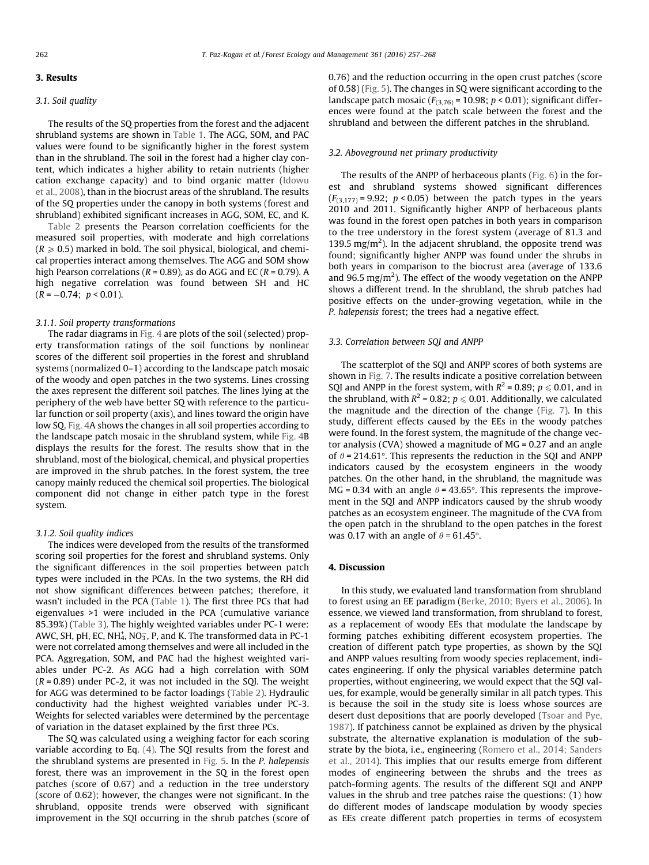# 3. Results

# *3.1. Soil quality*

The results of the SQ properties from the forest and the adjacent shrubland systems are shown in Table 1. The AGG, SOM, and PAC values were found to be significantly higher in the forest system than in the shrubland. The soil in the forest had a higher clay content, which indicates a higher ability to retain nutrients (higher cation exchange capacity) and to bind organic matter (Idowu et al., 2008), than in the biocrust areas of the shrubland. The results of the SQ properties under the canopy in both systems (forest and shrubland) exhibited significant increases in AGG, SOM, EC, and K.

Table 2 presents the Pearson correlation coefficients for the measured soil properties, with moderate and high correlations  $(R \geq 0.5)$  marked in bold. The soil physical, biological, and chemical properties interact among themselves. The AGG and SOM show high Pearson correlations (*R* = 0.89), as do AGG and EC (*R* = 0.79). A high negative correlation was found between SH and HC (*R* = -0.74; *p* < 0.01).

# *3.1.1. Soil property transformations*

The radar diagrams in Fig. 4 are plots of the soil (selected) property transformation ratings of the soil functions by nonlinear scores of the different soil properties in the forest and shrubland systems (normalized 0–1) according to the landscape patch mosaic of the woody and open patches in the two systems. Lines crossing the axes represent the different soil patches. The lines lying at the periphery of the web have better SQ with reference to the particular function or soil property (axis), and lines toward the origin have low SQ. Fig. 4A shows the changes in all soil properties according to the landscape patch mosaic in the shrubland system, while Fig. 4B displays the results for the forest. The results show that in the shrubland, most of the biological, chemical, and physical properties are improved in the shrub patches. In the forest system, the tree canopy mainly reduced the chemical soil properties. The biological component did not change in either patch type in the forest system.

# *3.1.2. Soil quality indices*

The indices were developed from the results of the transformed scoring soil properties for the forest and shrubland systems. Only the significant differences in the soil properties between patch types were included in the PCAs. In the two systems, the RH did not show significant differences between patches; therefore, it wasn't included in the PCA (Table 1). The first three PCs that had eigenvalues >1 were included in the PCA (cumulative variance 85.39%) (Table 3). The highly weighted variables under PC-1 were: AWC, SH, pH, EC, NH $_4^*$ , NO $_3^*$ , P, and K. The transformed data in PC-1 were not correlated among themselves and were all included in the PCA. Aggregation, SOM, and PAC had the highest weighted variables under PC-2. As AGG had a high correlation with SOM  $(R = 0.89)$  under PC-2, it was not included in the SQI. The weight for AGG was determined to be factor loadings (Table 2). Hydraulic conductivity had the highest weighted variables under PC-3. Weights for selected variables were determined by the percentage of variation in the dataset explained by the first three PCs.

The SQ was calculated using a weighing factor for each scoring variable according to Eq. (4). The SQI results from the forest and the shrubland systems are presented in Fig. 5. In the *P. halepensis* forest, there was an improvement in the SQ in the forest open patches (score of 0.67) and a reduction in the tree understory (score of 0.62); however, the changes were not significant. In the shrubland, opposite trends were observed with significant improvement in the SQI occurring in the shrub patches (score of 0.76) and the reduction occurring in the open crust patches (score of 0.58) (Fig. 5). The changes in SQ were significant according to the landscape patch mosaic  $(F_{(3,76)} = 10.98; p < 0.01)$ ; significant differences were found at the patch scale between the forest and the shrubland and between the different patches in the shrubland.

# *3.2. Aboveground net primary productivity*

The results of the ANPP of herbaceous plants (Fig. 6) in the forest and shrubland systems showed significant differences  $(F_{(3,177)} = 9.92$ ;  $p < 0.05$ ) between the patch types in the years 2010 and 2011. Significantly higher ANPP of herbaceous plants was found in the forest open patches in both years in comparison to the tree understory in the forest system (average of 81.3 and 139.5 mg/m<sup>2</sup>). In the adjacent shrubland, the opposite trend was found; significantly higher ANPP was found under the shrubs in both years in comparison to the biocrust area (average of 133.6 and 96.5 mg/m<sup>2</sup>). The effect of the woody vegetation on the ANPP shows a different trend. In the shrubland, the shrub patches had positive effects on the under-growing vegetation, while in the *P. halepensis* forest; the trees had a negative effect.

# *3.3. Correlation between SQI and ANPP*

The scatterplot of the SQI and ANPP scores of both systems are shown in Fig. 7. The results indicate a positive correlation between SQI and ANPP in the forest system, with  $R^2$  = 0.89;  $p \le 0.01$ , and in the shrubland, with  $R^2$  = 0.82;  $p \le 0.01$ . Additionally, we calculated the magnitude and the direction of the change (Fig. 7). In this study, different effects caused by the EEs in the woody patches were found. In the forest system, the magnitude of the change vector analysis (CVA) showed a magnitude of MG = 0.27 and an angle of  $\theta$  = 214.61°. This represents the reduction in the SQI and ANPP indicators caused by the ecosystem engineers in the woody patches. On the other hand, in the shrubland, the magnitude was MG = 0.34 with an angle  $\theta$  = 43.65°. This represents the improvement in the SQI and ANPP indicators caused by the shrub woody patches as an ecosystem engineer. The magnitude of the CVA from the open patch in the shrubland to the open patches in the forest was 0.17 with an angle of  $\theta$  = 61.45°.

# 4. Discussion

In this study, we evaluated land transformation from shrubland to forest using an EE paradigm (Berke, 2010; Byers et al., 2006). In essence, we viewed land transformation, from shrubland to forest, as a replacement of woody EEs that modulate the landscape by forming patches exhibiting different ecosystem properties. The creation of different patch type properties, as shown by the SQI and ANPP values resulting from woody species replacement, indicates engineering. If only the physical variables determine patch properties, without engineering, we would expect that the SQI values, for example, would be generally similar in all patch types. This is because the soil in the study site is loess whose sources are desert dust depositions that are poorly developed (Tsoar and Pye, 1987). If patchiness cannot be explained as driven by the physical substrate, the alternative explanation is modulation of the substrate by the biota, i.e., engineering (Romero et al., 2014; Sanders et al., 2014). This implies that our results emerge from different modes of engineering between the shrubs and the trees as patch-forming agents. The results of the different SQI and ANPP values in the shrub and tree patches raise the questions: (1) how do different modes of landscape modulation by woody species as EEs create different patch properties in terms of ecosystem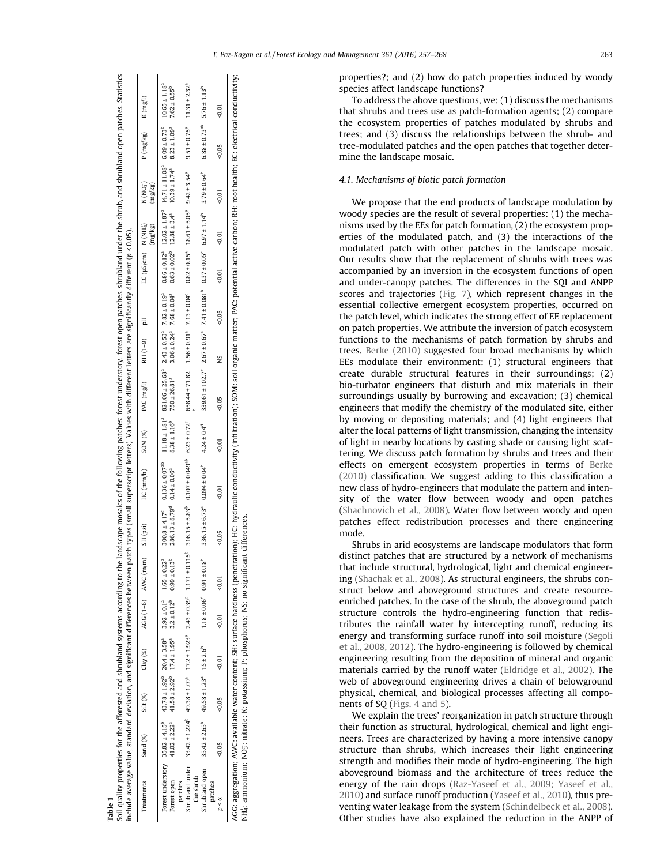|          | include average value, standard deviation, and significant differences between patch types (small superscript letters). Values with different letters are significantly different (p <0.05). |                       |                                                                                                              |       |                                                             |                                |       |                                                                                                                                                                                                                                                              |            |       |       |                                   |                                |                                                        |      |
|----------|----------------------------------------------------------------------------------------------------------------------------------------------------------------------------------------------|-----------------------|--------------------------------------------------------------------------------------------------------------|-------|-------------------------------------------------------------|--------------------------------|-------|--------------------------------------------------------------------------------------------------------------------------------------------------------------------------------------------------------------------------------------------------------------|------------|-------|-------|-----------------------------------|--------------------------------|--------------------------------------------------------|------|
| Sand (%) |                                                                                                                                                                                              | $Silt (%)$ $Clay (%)$ | AGG $(1-6)$ AVVC $(m/m)$                                                                                     |       | SH (psi)                                                    | $HC(mm/h)$ SOM (%) $PAC(mg/l)$ |       |                                                                                                                                                                                                                                                              | FEIC-91 Hz |       |       | $EC (µS/cm)$ $N (NH4)$<br>(mg/kg) | N(NO <sub>3</sub> )<br>(mg/kg) | $P(mg/kg)$ $K(mg/l)$                                   |      |
|          |                                                                                                                                                                                              |                       | Forest understory $35.82 \pm 4.15^b$ $43.78 \pm 1.92^b$ $20.4 \pm 3.58^a$ $3.92 \pm 0.1^a$ $1.65 \pm 0.22^a$ |       |                                                             |                                |       | $300.8 \pm 4.17^c \quad 0.136 \pm 0.07^{ab} \quad 11.18 \pm 1.181^a \quad 821.06 \pm 2.5.68^a \quad 2.43 \pm 0.53^a \quad 7.82 \pm 0.19^a \quad 0.86 \pm 0.12^a \quad 12.02 \pm 1.87^a \quad 14.71 \pm 11.08^a \quad 6.09 \pm 0.73^b \quad 10.65 \pm 1.18^a$ |            |       |       |                                   |                                |                                                        |      |
|          |                                                                                                                                                                                              |                       | $41.02 \pm 2.22^a$ $41.58 \pm 2.92^b$ $17.4 \pm 1.95^a$ $3.2 \pm 0.12^b$ $0.99 \pm 0.13^b$                   |       | $286.13 \pm 8.79$ <sup>d</sup> $0.14 \pm 0.06$ <sup>a</sup> |                                |       | $8.38 \pm 1.16^{\circ} \quad 750 \pm 26.81^{\circ} \quad 3.06 \pm 0.24^{\circ} \quad 7.68 \pm 0.04^{\circ} \quad 0.63 \pm 0.02^{\circ} \quad 12.88 \pm 3.4^{\circ} \quad 10.39 \pm 1.74^{\circ} \quad 8.23 \pm 1.09^{\circ} \quad 7.62 \pm 0.55^{\circ}$     |            |       |       |                                   |                                |                                                        |      |
|          |                                                                                                                                                                                              |                       |                                                                                                              |       |                                                             |                                |       | Shrubland under 33.42±1.224 <sup>b</sup> 49.38±1.09° 17.2±1.923° 2.43±0.39° 11.71115° 316.15±5.83° 0.107±0.049ª 6.8244±71.82 1.56±0.91° 1.3±0.04° 0.82±0.15° 18.61±5.05° 9.42±3.54°                                                                          |            |       |       |                                   |                                | $9.51 \pm 0.75$ <sup>a</sup> 11.31 ± 2.32 <sup>a</sup> |      |
|          | Shrubland open $35.42 \pm 2.65^b$ $49.58 \pm 1.23^a$ $15 \pm 2.6^b$                                                                                                                          |                       | $1.18 \pm 0.06^{d}$ 0.91 $\pm 0.18^{d}$                                                                      |       |                                                             |                                |       | $336.15 \pm 6.73^a \quad 0.094 \pm 0.04^b \quad 4.24 \pm 0.4^d \quad 339.61 \pm 102.7^c \quad 2.67 \pm 0.67^a \quad 7.41 \pm 0.081^b \quad 0.37 \pm 0.05^c \quad 6.97 \pm 1.14^b \quad 3.79 \pm 0.64^b \quad 6.88 \pm 0.73^{ab} \quad 5.76 \pm 1.13^b$       |            |       |       |                                   |                                |                                                        |      |
|          | 50.05                                                                                                                                                                                        | 50.01                 | 50.01                                                                                                        | 50.07 |                                                             | ة<br>9                         | <0.01 | 50.05                                                                                                                                                                                                                                                        |            | 50.05 | 50.01 | 50.01                             | $-0.01$                        | 50.05                                                  | ۲0 p |
|          |                                                                                                                                                                                              |                       |                                                                                                              |       |                                                             |                                |       | AGG: aggregation; AWC: available water content; SH: surface hardness (penetration); HC: hydraulic conductivity (infiltration); SOM: soil organic matter; PAC: potential active carbon; RH: root health; EC: electrical conduct                               |            |       |       |                                   |                                |                                                        |      |
|          |                                                                                                                                                                                              |                       |                                                                                                              |       |                                                             |                                |       |                                                                                                                                                                                                                                                              |            |       |       |                                   |                                |                                                        |      |

Soil quality properties for the afforested and shrubbland open patches. Systems according to the following patches: forest understory, forest understory, forest and shrubland under the shrubland open patches. Skrubland ope

Table 1

NH + 4: ammonium; NO ما : nitrate; K: potassium; P: phosphorus; NS: no significant differences.

*T. Paz-Kagan et al. / Forest Ecology and Management 361 (2016) 257–268* 263

properties?; and (2) how do patch properties induced by woody species affect landscape functions?

To address the above questions, we: (1) discuss the mechanisms that shrubs and trees use as patch-formation agents; (2) compare the ecosystem properties of patches modulated by shrubs and trees; and (3) discuss the relationships between the shrub- and tree-modulated patches and the open patches that together determine the landscape mosaic.

# *4.1. Mechanisms of biotic patch formation*

We propose that the end products of landscape modulation by woody species are the result of several properties: (1) the mechanisms used by the EEs for patch formation, (2) the ecosystem properties of the modulated patch, and (3) the interactions of the modulated patch with other patches in the landscape mosaic. Our results show that the replacement of shrubs with trees was accompanied by an inversion in the ecosystem functions of open and under-canopy patches. The differences in the SQI and ANPP scores and trajectories (Fig. 7), which represent changes in the essential collective emergent ecosystem properties, occurred on the patch level, which indicates the strong effect of EE replacement on patch properties. We attribute the inversion of patch ecosystem functions to the mechanisms of patch formation by shrubs and trees. Berke (2010) suggested four broad mechanisms by which EEs modulate their environment: (1) structural engineers that create durable structural features in their surroundings; (2) bio-turbator engineers that disturb and mix materials in their surroundings usually by burrowing and excavation; (3) chemical engineers that modify the chemistry of the modulated site, either by moving or depositing materials; and (4) light engineers that alter the local patterns of light transmission, changing the intensity of light in nearby locations by casting shade or causing light scattering. We discuss patch formation by shrubs and trees and their effects on emergent ecosystem properties in terms of Berke (2010) classification. We suggest adding to this classification a new class of hydro-engineers that modulate the pattern and intensity of the water flow between woody and open patches (Shachnovich et al., 2008). Water flow between woody and open patches effect redistribution processes and there engineering mode.

Shrubs in arid ecosystems are landscape modulators that form distinct patches that are structured by a network of mechanisms that include structural, hydrological, light and chemical engineering (Shachak et al., 2008). As structural engineers, the shrubs construct below and aboveground structures and create resourceenriched patches. In the case of the shrub, the aboveground patch structure controls the hydro-engineering function that redistributes the rainfall water by intercepting runoff, reducing its energy and transforming surface runoff into soil moisture (Segoli et al., 2008, 2012). The hydro-engineering is followed by chemical engineering resulting from the deposition of mineral and organic materials carried by the runoff water (Eldridge et al., 2002). The web of aboveground engineering drives a chain of belowground physical, chemical, and biological processes affecting all components of SQ (Figs. 4 and 5).

We explain the trees' reorganization in patch structure through their function as structural, hydrological, chemical and light engineers. Trees are characterized by having a more intensive canopy structure than shrubs, which increases their light engineering strength and modifies their mode of hydro-engineering. The high aboveground biomass and the architecture of trees reduce the energy of the rain drops (Raz-Yaseef et al., 2009; Yaseef et al., 2010) and surface runoff production (Yaseef et al., 2010), thus preventing water leakage from the system (Schindelbeck et al., 2008). Other studies have also explained the reduction in the ANPP of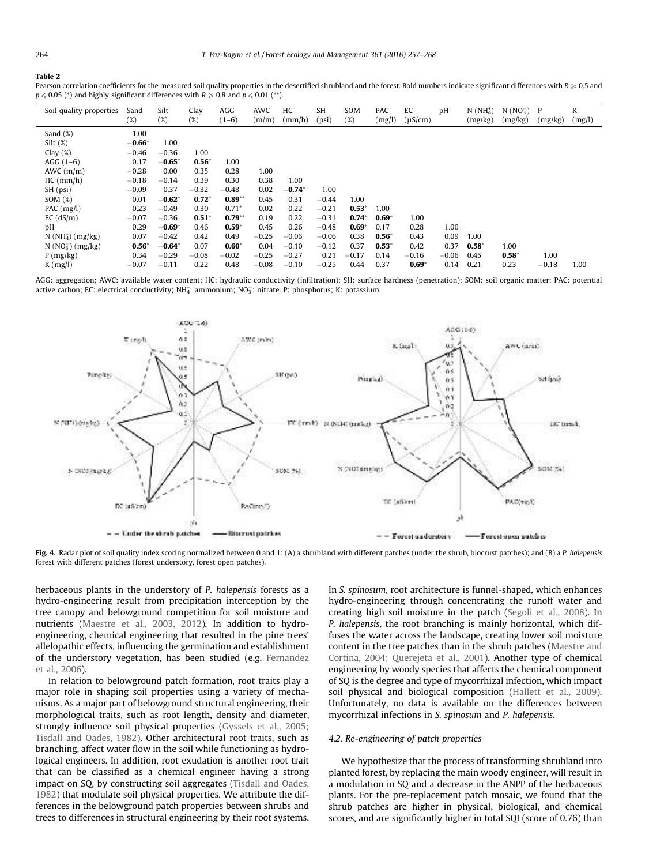#### Table 2

Pearson correlation coefficients for the measured soil quality properties in the desertified shrubland and the forest. Bold numbers indicate significant differences with  $R \ge 0.5$  and  $p \leqslant 0.05$  (\*) and highly significant differences with  $R \geqslant 0.8$  and  $p \leqslant 0.01$  (\*\*).

| Soil quality properties | Sand<br>(%) | Silt<br>$(\%)$ | Clay<br>$(\%)$ | AGG<br>$(1-6)$ | AWC<br>(m/m) | HC<br>(mm/h) | <b>SH</b><br>(psi) | SOM<br>$(\%)$  | PAC<br>(mg/l) | EC<br>$(\mu S/cm)$ | pH      | N(NH <sub>4</sub> )<br>(mg/kg) | $N(NO_3^-)$<br>(mg/kg) | P<br>(mg/kg) | K<br>(mg/l) |
|-------------------------|-------------|----------------|----------------|----------------|--------------|--------------|--------------------|----------------|---------------|--------------------|---------|--------------------------------|------------------------|--------------|-------------|
| Sand $(\%)$             | 1.00        |                |                |                |              |              |                    |                |               |                    |         |                                |                        |              |             |
| $Silt$ (%)              | $-0.66*$    | 1.00           |                |                |              |              |                    |                |               |                    |         |                                |                        |              |             |
| Clay $(\%)$             | $-0.46$     | $-0.36$        | 1.00           |                |              |              |                    |                |               |                    |         |                                |                        |              |             |
| AGG $(1-6)$             | 0.17        | $-0.65*$       | $0.56*$        | 1.00           |              |              |                    |                |               |                    |         |                                |                        |              |             |
| AWC(m/m)                | $-0.28$     | 0.00           | 0.35           | 0.28           | 1.00         |              |                    |                |               |                    |         |                                |                        |              |             |
| HC (mm/h)               | $-0.18$     | $-0.14$        | 0.39           | 0.30           | 0.38         | 1.00         |                    |                |               |                    |         |                                |                        |              |             |
| SH (psi)                | $-0.09$     | 0.37           | $-0.32$        | $-0.48$        | 0.02         | $-0.74*$     | 1.00               |                |               |                    |         |                                |                        |              |             |
| SOM(%)                  | 0.01        | $-0.62*$       | $0.72*$        | $0.89**$       | 0.45         | 0.31         | $-0.44$            | 1.00           |               |                    |         |                                |                        |              |             |
| PAC $(mg/l)$            | 0.23        | $-0.49$        | 0.30           | $0.71*$        | 0.02         | 0.22         | $-0.21$            | $0.53*$        | 1.00          |                    |         |                                |                        |              |             |
| $EC$ (dS/m)             | $-0.07$     | $-0.36$        | $0.51*$        | $0.79***$      | 0.19         | 0.22         | $-0.31$            | $0.74^*$       | $0.69*$       | 1.00               |         |                                |                        |              |             |
| рH                      | 0.29        | $-0.69*$       | 0.46           | $0.59*$        | 0.45         | 0.26         | $-0.48$            | $0.69^{\circ}$ | 0.17          | 0.28               | 1.00    |                                |                        |              |             |
| $N(NH4+) (mg/kg)$       | 0.07        | $-0.42$        | 0.42           | 0.49           | $-0.25$      | $-0.06$      | $-0.06$            | 0.38           | $0.56*$       | 0.43               | 0.09    | 1.00                           |                        |              |             |
| $N(NO_3^-)(mg/kg)$      | $0.56*$     | $-0.64*$       | 0.07           | $0.60*$        | 0.04         | $-0.10$      | $-0.12$            | 0.37           | $0.53*$       | 0.42               | 0.37    | $0.58*$                        | 1.00                   |              |             |
| P(mg/kg)                | 0.34        | $-0.29$        | $-0.08$        | $-0.02$        | $-0.25$      | $-0.27$      | 0.21               | $-0.17$        | 0.14          | $-0.16$            | $-0.06$ | 0.45                           | $0.58*$                | 1.00         |             |
| K(mg/l)                 | $-0.07$     | $-0.11$        | 0.22           | 0.48           | $-0.08$      | $-0.10$      | $-0.25$            | 0.44           | 0.37          | $0.69*$            | 0.14    | 0.21                           | 0.23                   | $-0.18$      | 1.00        |

AGG: aggregation; AWC: available water content; HC: hydraulic conductivity (infiltration); SH: surface hardness (penetration); SOM: soil organic matter; PAC: potential active carbon; EC: electrical conductivity; NH<sub>4</sub>: ammonium; NO<sub>3</sub>: nitrate. P: phosphorus; K: potassium.



Fig. 4. Radar plot of soil quality index scoring normalized between 0 and 1: (A) a shrubland with different patches (under the shrub, biocrust patches); and (B) a *P. halepensis* forest with different patches (forest understory, forest open patches).

herbaceous plants in the understory of *P. halepensis* forests as a hydro-engineering result from precipitation interception by the tree canopy and belowground competition for soil moisture and nutrients (Maestre et al., 2003, 2012). In addition to hydroengineering, chemical engineering that resulted in the pine trees' allelopathic effects, influencing the germination and establishment of the understory vegetation, has been studied (e.g. Fernandez et al., 2006).

In relation to belowground patch formation, root traits play a major role in shaping soil properties using a variety of mechanisms. As a major part of belowground structural engineering, their morphological traits, such as root length, density and diameter, strongly influence soil physical properties (Gyssels et al., 2005; Tisdall and Oades, 1982). Other architectural root traits, such as branching, affect water flow in the soil while functioning as hydrological engineers. In addition, root exudation is another root trait that can be classified as a chemical engineer having a strong impact on SQ, by constructing soil aggregates (Tisdall and Oades, 1982) that modulate soil physical properties. We attribute the differences in the belowground patch properties between shrubs and trees to differences in structural engineering by their root systems. In *S. spinosum*, root architecture is funnel-shaped, which enhances hydro-engineering through concentrating the runoff water and creating high soil moisture in the patch (Segoli et al., 2008). In *P. halepensis*, the root branching is mainly horizontal, which diffuses the water across the landscape, creating lower soil moisture content in the tree patches than in the shrub patches (Maestre and Cortina, 2004; Querejeta et al., 2001). Another type of chemical engineering by woody species that affects the chemical component of SQ is the degree and type of mycorrhizal infection, which impact soil physical and biological composition (Hallett et al., 2009). Unfortunately, no data is available on the differences between mycorrhizal infections in *S. spinosum* and *P. halepensis*.

# *4.2. Re-engineering of patch properties*

We hypothesize that the process of transforming shrubland into planted forest, by replacing the main woody engineer, will result in a modulation in SQ and a decrease in the ANPP of the herbaceous plants. For the pre-replacement patch mosaic, we found that the shrub patches are higher in physical, biological, and chemical scores, and are significantly higher in total SQI (score of 0.76) than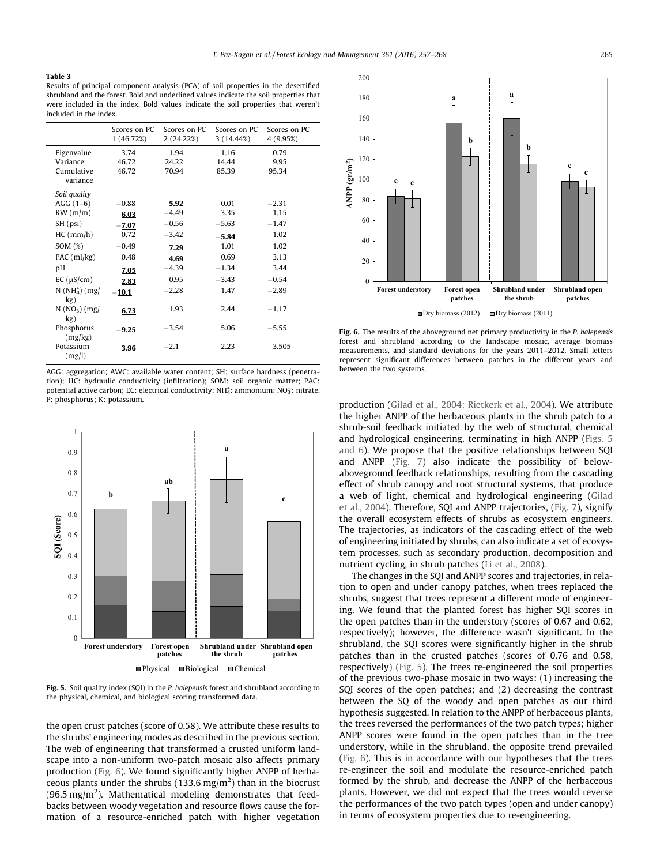#### Table 3

Results of principal component analysis (PCA) of soil properties in the desertified shrubland and the forest. Bold and underlined values indicate the soil properties that were included in the index. Bold values indicate the soil properties that weren't included in the index.

|                                 | Scores on PC<br>1 (46.72%) | Scores on PC<br>2 (24.22%) | Scores on PC<br>3 (14.44%) | Scores on PC<br>4 (9.95%) |
|---------------------------------|----------------------------|----------------------------|----------------------------|---------------------------|
| Eigenvalue                      | 3.74                       | 1.94                       | 1.16                       | 0.79                      |
| Variance                        | 46.72                      | 24.22                      | 14.44                      | 9.95                      |
| Cumulative<br>variance          | 46.72                      | 70.94                      | 85.39                      | 95.34                     |
| Soil quality                    |                            |                            |                            |                           |
| AGG $(1-6)$                     | $-0.88$                    | 5.92                       | 0.01                       | $-2.31$                   |
| RW(m/m)                         | 6.03                       | $-4.49$                    | 3.35                       | 1.15                      |
| SH (psi)                        | $-7.07$                    | $-0.56$                    | $-5.63$                    | $-1.47$                   |
| HC (mm/h)                       | 0.72                       | $-3.42$                    | $-5.84$                    | 1.02                      |
| SOM(%)                          | $-0.49$                    | 7.29                       | 1.01                       | 1.02                      |
| $PAC$ (ml/kg)                   | 0.48                       | 4.69                       | 0.69                       | 3.13                      |
| pH                              | 7.05                       | $-4.39$                    | $-1.34$                    | 3.44                      |
| $EC (\mu S/cm)$                 | 2.83                       | 0.95                       | $-3.43$                    | $-0.54$                   |
| N(NH <sub>4</sub> ) (mg)<br>kg) | $-10.1$                    | $-2.28$                    | 1.47                       | $-2.89$                   |
| $N(NO_3)$ (mg/<br>kg)           | 6.73                       | 1.93                       | 2.44                       | $-1.17$                   |
| Phosphorus<br>(mg/kg)           | $-9.25$                    | $-3.54$                    | 5.06                       | $-5.55$                   |
| Potassium<br>(mg/l)             | 3.96                       | $-2.1$                     | 2.23                       | 3.505                     |

AGG: aggregation; AWC: available water content; SH: surface hardness (penetration); HC: hydraulic conductivity (infiltration); SOM: soil organic matter; PAC: potential active carbon; EC: electrical conductivity; NH<sup>+</sup>; ammonium; NO<sub>3</sub>: nitrate, P: phosphorus; K: potassium.



Fig. 5. Soil quality index (SQI) in the *P. halepensis* forest and shrubland according to the physical, chemical, and biological scoring transformed data.

the open crust patches (score of 0.58). We attribute these results to the shrubs' engineering modes as described in the previous section. The web of engineering that transformed a crusted uniform landscape into a non-uniform two-patch mosaic also affects primary production (Fig. 6). We found significantly higher ANPP of herbaceous plants under the shrubs (133.6 mg/m<sup>2</sup>) than in the biocrust (96.5 mg/m<sup>2</sup>). Mathematical modeling demonstrates that feedbacks between woody vegetation and resource flows cause the formation of a resource-enriched patch with higher vegetation



Fig. 6. The results of the aboveground net primary productivity in the *P. halepensis* forest and shrubland according to the landscape mosaic, average biomass measurements, and standard deviations for the years 2011–2012. Small letters represent significant differences between patches in the different years and between the two systems.

production (Gilad et al., 2004; Rietkerk et al., 2004). We attribute the higher ANPP of the herbaceous plants in the shrub patch to a shrub-soil feedback initiated by the web of structural, chemical and hydrological engineering, terminating in high ANPP (Figs. 5 and 6). We propose that the positive relationships between SQI and ANPP (Fig. 7) also indicate the possibility of belowaboveground feedback relationships, resulting from the cascading effect of shrub canopy and root structural systems, that produce a web of light, chemical and hydrological engineering (Gilad et al., 2004). Therefore, SQI and ANPP trajectories, (Fig. 7), signify the overall ecosystem effects of shrubs as ecosystem engineers. The trajectories, as indicators of the cascading effect of the web of engineering initiated by shrubs, can also indicate a set of ecosystem processes, such as secondary production, decomposition and nutrient cycling, in shrub patches (Li et al., 2008).

The changes in the SQI and ANPP scores and trajectories, in relation to open and under canopy patches, when trees replaced the shrubs, suggest that trees represent a different mode of engineering. We found that the planted forest has higher SQI scores in the open patches than in the understory (scores of 0.67 and 0.62, respectively); however, the difference wasn't significant. In the shrubland, the SQI scores were significantly higher in the shrub patches than in the crusted patches (scores of 0.76 and 0.58, respectively) (Fig. 5). The trees re-engineered the soil properties of the previous two-phase mosaic in two ways: (1) increasing the SQI scores of the open patches; and (2) decreasing the contrast between the SQ of the woody and open patches as our third hypothesis suggested. In relation to the ANPP of herbaceous plants, the trees reversed the performances of the two patch types; higher ANPP scores were found in the open patches than in the tree understory, while in the shrubland, the opposite trend prevailed (Fig. 6). This is in accordance with our hypotheses that the trees re-engineer the soil and modulate the resource-enriched patch formed by the shrub, and decrease the ANPP of the herbaceous plants. However, we did not expect that the trees would reverse the performances of the two patch types (open and under canopy) in terms of ecosystem properties due to re-engineering.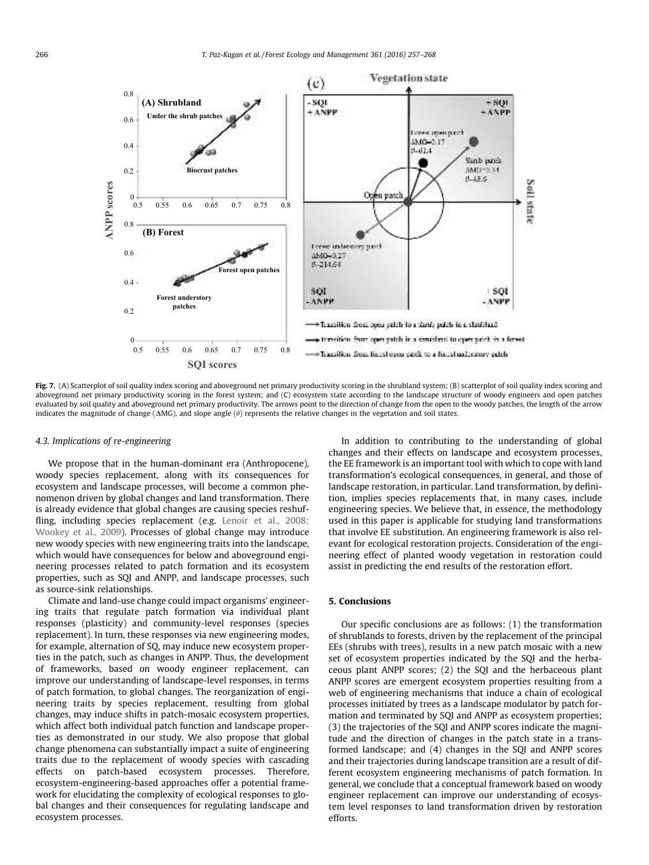

Fig. 7. (A) Scatterplot of soil quality index scoring and aboveground net primary productivity scoring in the shrubland system; (B) scatterplot of soil quality index scoring and aboveground net primary productivity scoring in the forest system; and (C) ecosystem state according to the landscape structure of woody engineers and open patches evaluated by soil quality and aboveground net primary productivity. The arrows point to the direction of change from the open to the woody patches, the length of the arrow indicates the magnitude of change ( $\Delta MG$ ), and slope angle ( $\theta$ ) represents the relative changes in the vegetation and soil states.

#### *4.3. Implications of re-engineering*

We propose that in the human-dominant era (Anthropocene), woody species replacement, along with its consequences for ecosystem and landscape processes, will become a common phenomenon driven by global changes and land transformation. There is already evidence that global changes are causing species reshuffling, including species replacement (e.g. Lenoir et al., 2008; Wookey et al., 2009). Processes of global change may introduce new woody species with new engineering traits into the landscape, which would have consequences for below and aboveground engineering processes related to patch formation and its ecosystem properties, such as SQI and ANPP, and landscape processes, such as source-sink relationships.

Climate and land-use change could impact organisms' engineering traits that regulate patch formation via individual plant responses (plasticity) and community-level responses (species replacement). In turn, these responses via new engineering modes, for example, alternation of SQ, may induce new ecosystem properties in the patch, such as changes in ANPP. Thus, the development of frameworks, based on woody engineer replacement, can improve our understanding of landscape-level responses, in terms of patch formation, to global changes. The reorganization of engineering traits by species replacement, resulting from global changes, may induce shifts in patch-mosaic ecosystem properties, which affect both individual patch function and landscape properties as demonstrated in our study. We also propose that global change phenomena can substantially impact a suite of engineering traits due to the replacement of woody species with cascading effects on patch-based ecosystem processes. Therefore, ecosystem-engineering-based approaches offer a potential framework for elucidating the complexity of ecological responses to global changes and their consequences for regulating landscape and ecosystem processes.

In addition to contributing to the understanding of global changes and their effects on landscape and ecosystem processes, the EE framework is an important tool with which to cope with land transformation's ecological consequences, in general, and those of landscape restoration, in particular. Land transformation, by definition, implies species replacements that, in many cases, include engineering species. We believe that, in essence, the methodology used in this paper is applicable for studying land transformations that involve EE substitution. An engineering framework is also relevant for ecological restoration projects. Consideration of the engineering effect of planted woody vegetation in restoration could assist in predicting the end results of the restoration effort.

# 5. Conclusions

Our specific conclusions are as follows: (1) the transformation of shrublands to forests, driven by the replacement of the principal EEs (shrubs with trees), results in a new patch mosaic with a new set of ecosystem properties indicated by the SQI and the herbaceous plant ANPP scores; (2) the SQI and the herbaceous plant ANPP scores are emergent ecosystem properties resulting from a web of engineering mechanisms that induce a chain of ecological processes initiated by trees as a landscape modulator by patch formation and terminated by SQI and ANPP as ecosystem properties; (3) the trajectories of the SQI and ANPP scores indicate the magnitude and the direction of changes in the patch state in a transformed landscape; and (4) changes in the SQI and ANPP scores and their trajectories during landscape transition are a result of different ecosystem engineering mechanisms of patch formation. In general, we conclude that a conceptual framework based on woody engineer replacement can improve our understanding of ecosystem level responses to land transformation driven by restoration efforts.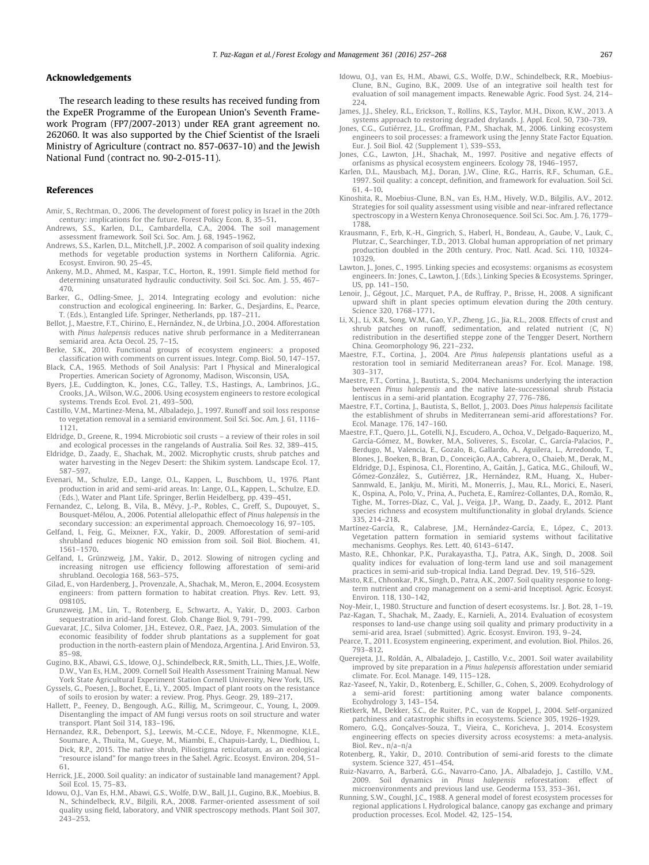# Acknowledgements

The research leading to these results has received funding from the ExpeER Programme of the European Union's Seventh Framework Program (FP7/2007-2013) under REA grant agreement no. 262060. It was also supported by the Chief Scientist of the Israeli Ministry of Agriculture (contract no. 857-0637-10) and the Jewish National Fund (contract no. 90-2-015-11).

# References

- Amir, S., Rechtman, O., 2006. The development of forest policy in Israel in the 20th century: implications for the future. Forest Policy Econ. 8, 35–51.
- Andrews, S.S., Karlen, D.L., Cambardella, C.A., 2004. The soil management assessment framework. Soil Sci. Soc. Am. J. 68, 1945–1962.
- Andrews, S.S., Karlen, D.L., Mitchell, J.P., 2002. A comparison of soil quality indexing methods for vegetable production systems in Northern California. Agric. Ecosyst. Environ. 90, 25–45.
- Ankeny, M.D., Ahmed, M., Kaspar, T.C., Horton, R., 1991. Simple field method for determining unsaturated hydraulic conductivity. Soil Sci. Soc. Am. J. 55, 467– 470.
- Barker, G., Odling-Smee, J., 2014. Integrating ecology and evolution: niche construction and ecological engineering. In: Barker, G., Desjardins, E., Pearce, T. (Eds.), Entangled Life. Springer, Netherlands, pp. 187–211.
- Bellot, J., Maestre, F.T., Chirino, E., Hernández, N., de Urbina, J.O., 2004. Afforestation with *Pinus halepensis* reduces native shrub performance in a Mediterranean semiarid area. Acta Oecol. 25, 7–15.
- Berke, S.K., 2010. Functional groups of ecosystem engineers: a proposed classification with comments on current issues. Integr. Comp. Biol. 50, 147–157.
- Black, C.A., 1965. Methods of Soil Analysis: Part I Physical and Mineralogical Properties. American Society of Agronomy, Madison, Wisconsin, USA.
- Byers, J.E., Cuddington, K., Jones, C.G., Talley, T.S., Hastings, A., Lambrinos, J.G., Crooks, J.A., Wilson, W.G., 2006. Using ecosystem engineers to restore ecological systems. Trends Ecol. Evol. 21, 493–500.
- Castillo, V.M., Martinez-Mena, M., Albaladejo, J., 1997. Runoff and soil loss response to vegetation removal in a semiarid environment. Soil Sci. Soc. Am. J. 61, 1116– 1121.
- Eldridge, D., Greene, R., 1994. Microbiotic soil crusts a review of their roles in soil and ecological processes in the rangelands of Australia. Soil Res. 32, 389–415.
- Eldridge, D., Zaady, E., Shachak, M., 2002. Microphytic crusts, shrub patches and water harvesting in the Negev Desert: the Shikim system. Landscape Ecol. 17, 587–597.
- Evenari, M., Schulze, E.D., Lange, O.L., Kappen, L., Buschbom, U., 1976. Plant production in arid and semi-arid areas. In: Lange, O.L., Kappen, L., Schulze, E.D. (Eds.), Water and Plant Life. Springer, Berlin Heidelberg, pp. 439–451.
- Fernandez, C., Lelong, B., Vila, B., Mévy, J.-P., Robles, C., Greff, S., Dupouyet, S., Bousquet-Mélou, A., 2006. Potential allelopathic effect of *Pinus halepensis* in the secondary succession: an experimental approach. Chemoecology 16, 97–105.
- Gelfand, I., Feig, G., Meixner, F.X., Yakir, D., 2009. Afforestation of semi-arid shrubland reduces biogenic NO emission from soil. Soil Biol. Biochem. 41, 1561–1570.
- Gelfand, I., Grünzweig, J.M., Yakir, D., 2012. Slowing of nitrogen cycling and increasing nitrogen use efficiency following afforestation of semi-arid shrubland. Oecologia 168, 563–575.
- Gilad, E., von Hardenberg, J., Provenzale, A., Shachak, M., Meron, E., 2004. Ecosystem engineers: from pattern formation to habitat creation. Phys. Rev. Lett. 93, 098105.
- Grunzweig, J.M., Lin, T., Rotenberg, E., Schwartz, A., Yakir, D., 2003. Carbon sequestration in arid-land forest. Glob. Change Biol. 9, 791–799.
- Guevarat, J.C., Silva Colomer, J.H., Estevez, O.R., Paez, J.A., 2003. Simulation of the economic feasibility of fodder shrub plantations as a supplement for goat production in the north-eastern plain of Mendoza, Argentina. J. Arid Environ. 53, 85–98.
- Gugino, B.K., Abawi, G.S., Idowe, O.J., Schindelbeck, R.R., Smith, L.L., Thies, J.E., Wolfe, D.W., Van Es, H.M., 2009. Cornell Soil Health Assessment Training Manual. New York State Agricultural Experiment Station Cornell University, New York, US.
- Gyssels, G., Poesen, J., Bochet, E., Li, Y., 2005. Impact of plant roots on the resistance of soils to erosion by water: a review. Prog. Phys. Geogr. 29, 189–217.
- Hallett, P., Feeney, D., Bengough, A.G., Rillig, M., Scrimgeour, C., Young, I., 2009. Disentangling the impact of AM fungi versus roots on soil structure and water transport. Plant Soil 314, 183–196.
- Hernandez, R.R., Debenport, S.J., Leewis, M.-C.C.E., Ndoye, F., Nkenmogne, K.I.E., Soumare, A., Thuita, M., Gueye, M., Miambi, E., Chapuis-Lardy, L., Diedhiou, I., Dick, R.P., 2015. The native shrub, Piliostigma reticulatum, as an ecological ''resource island" for mango trees in the Sahel. Agric. Ecosyst. Environ. 204, 51– 61.
- Herrick, J.E., 2000. Soil quality: an indicator of sustainable land management? Appl. Soil Ecol. 15, 75–83.
- Idowu, O.J., Van Es, H.M., Abawi, G.S., Wolfe, D.W., Ball, J.I., Gugino, B.K., Moebius, B. N., Schindelbeck, R.V., Bilgili, R.A., 2008. Farmer-oriented assessment of soil quality using field, laboratory, and VNIR spectroscopy methods. Plant Soil 307, 243–253.
- Idowu, O.J., van Es, H.M., Abawi, G.S., Wolfe, D.W., Schindelbeck, R.R., Moebius-Clune, B.N., Gugino, B.K., 2009. Use of an integrative soil health test for evaluation of soil management impacts. Renewable Agric. Food Syst. 24, 214– 224.
- James, J.J., Sheley, R.L., Erickson, T., Rollins, K.S., Taylor, M.H., Dixon, K.W., 2013. A systems approach to restoring degraded drylands. J. Appl. Ecol. 50, 730–739.
- Jones, C.G., Gutiérrez, J.L., Groffman, P.M., Shachak, M., 2006. Linking ecosystem engineers to soil processes: a framework using the Jenny State Factor Equation. Eur. J. Soil Biol. 42 (Supplement 1), S39–S53.
- Jones, C.G., Lawton, J.H., Shachak, M., 1997. Positive and negative effects of orfanisms as physical ecosystem engineers. Ecology 78, 1946–1957.
- Karlen, D.L., Mausbach, M.J., Doran, J.W., Cline, R.G., Harris, R.F., Schuman, G.E., 1997. Soil quality: a concept, definition, and framework for evaluation. Soil Sci. 61, 4–10.
- Kinoshita, R., Moebius-Clune, B.N., van Es, H.M., Hively, W.D., Bilgilis, A.V., 2012. Strategies for soil quality assessment using visible and near-infrared reflectance spectroscopy in a Western Kenya Chronosequence. Soil Sci. Soc. Am. J. 76, 1779– 1788.
- Krausmann, F., Erb, K.-H., Gingrich, S., Haberl, H., Bondeau, A., Gaube, V., Lauk, C., Plutzar, C., Searchinger, T.D., 2013. Global human appropriation of net primary production doubled in the 20th century. Proc. Natl. Acad. Sci. 110, 10324– 10329.
- Lawton, J., Jones, C., 1995. Linking species and ecosystems: organisms as ecosystem engineers. In: Jones, C., Lawton, J. (Eds.), Linking Species & Ecosystems. Springer, US, pp. 141–150.
- Lenoir, J., Gégout, J.C., Marquet, P.A., de Ruffray, P., Brisse, H., 2008. A significant upward shift in plant species optimum elevation during the 20th century. Science 320, 1768–1771.
- Li, X.J., Li, X.R., Song, W.M., Gao, Y.P., Zheng, J.G., Jia, R.L., 2008. Effects of crust and shrub patches on runoff, sedimentation, and related nutrient (C, N) redistribution in the desertified steppe zone of the Tengger Desert, Northern China. Geomorphology 96, 221–232.
- Maestre, F.T., Cortina, J., 2004. Are *Pinus halepensis* plantations useful as a restoration tool in semiarid Mediterranean areas? For. Ecol. Manage. 198, 303–317.
- Maestre, F.T., Cortina, J., Bautista, S., 2004. Mechanisms underlying the interaction between *Pinus halepensis* and the native late-successional shrub Pistacia lentiscus in a semi-arid plantation. Ecography 27, 776–786.
- Maestre, F.T., Cortina, J., Bautista, S., Bellot, J., 2003. Does *Pinus halepensis* facilitate the establishment of shrubs in Mediterranean semi-arid afforestations? For. Ecol. Manage. 176, 147–160.
- Maestre, F.T., Quero, J.L., Gotelli, N.J., Escudero, A., Ochoa, V., Delgado-Baquerizo, M., García-Gómez, M., Bowker, M.A., Soliveres, S., Escolar, C., García-Palacios, P., Berdugo, M., Valencia, E., Gozalo, B., Gallardo, A., Aguilera, L., Arredondo, T., Blones, J., Boeken, B., Bran, D., Conceição, A.A., Cabrera, O., Chaieb, M., Derak, M., Eldridge, D.J., Espinosa, C.I., Florentino, A., Gaitán, J., Gatica, M.G., Ghiloufi, W., Gómez-González, S., Gutiérrez, J.R., Hernández, R.M., Huang, X., Huber-Sannwald, E., Jankju, M., Miriti, M., Monerris, J., Mau, R.L., Morici, E., Naseri, K., Ospina, A., Polo, V., Prina, A., Pucheta, E., Ramírez-Collantes, D.A., Romão, R., Tighe, M., Torres-Díaz, C., Val, J., Veiga, J.P., Wang, D., Zaady, E., 2012. Plant species richness and ecosystem multifunctionality in global drylands. Science 335, 214–218.
- Martínez-García, R., Calabrese, J.M., Hernández-García, E., López, C., 2013. Vegetation pattern formation in semiarid systems without facilitative mechanisms. Geophys. Res. Lett. 40, 6143–6147.
- Masto, R.E., Chhonkar, P.K., Purakayastha, T.J., Patra, A.K., Singh, D., 2008. Soil quality indices for evaluation of long-term land use and soil management practices in semi-arid sub-tropical India. Land Degrad. Dev. 19, 516–529.
- Masto, R.E., Chhonkar, P.K., Singh, D., Patra, A.K., 2007. Soil quality response to longterm nutrient and crop management on a semi-arid Inceptisol. Agric. Ecosyst. Environ. 118, 130–142.
- Noy-Meir, I., 1980. Structure and function of desert ecosystems. Isr. J. Bot. 28, 1–19.
- Paz-Kagan, T., Shachak, M., Zaady, E., Karnieli, A., 2014. Evaluation of ecosystem responses to land-use change using soil quality and primary productivity in a semi-arid area, Israel (submitted). Agric. Ecosyst. Environ. 193, 9–24.
- Pearce, T., 2011. Ecosystem engineering, experiment, and evolution. Biol. Philos. 26, 793–812.
- Querejeta, J.I., Roldán, A., Albaladejo, J., Castillo, V.c., 2001. Soil water availability improved by site preparation in a *Pinus halepensis* afforestation under semiarid climate. For. Ecol. Manage. 149, 115–128.
- Raz-Yaseef, N., Yakir, D., Rotenberg, E., Schiller, G., Cohen, S., 2009. Ecohydrology of a semi-arid forest: partitioning among water balance components. Ecohydrology 3, 143–154.
- Rietkerk, M., Dekker, S.C., de Ruiter, P.C., van de Koppel, J., 2004. Self-organized patchiness and catastrophic shifts in ecosystems. Science 305, 1926–1929.
- Romero, G.Q., Gonçalves-Souza, T., Vieira, C., Koricheva, J., 2014. Ecosystem engineering effects on species diversity across ecosystems: a meta-analysis. Biol. Rev., n/a–n/a
- Rotenberg, R., Yakir, D., 2010. Contribution of semi-arid forests to the climate system. Science 327, 451–454.
- Ruiz-Navarro, A., Barberá, G.G., Navarro-Cano, J.A., Albaladejo, J., Castillo, V.M., 2009. Soil dynamics in *Pinus halepensis* reforestation: effect of microenvironments and previous land use. Geoderma 153, 353–361.
- Running, S.W., Coughl, J.C., 1988. A general model of forest ecosystem processes for regional applications I. Hydrological balance, canopy gas exchange and primary production processes. Ecol. Model. 42, 125–154.